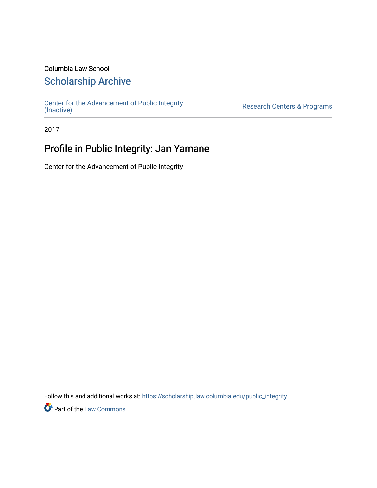### Columbia Law School

### [Scholarship Archive](https://scholarship.law.columbia.edu/)

[Center for the Advancement of Public Integrity](https://scholarship.law.columbia.edu/public_integrity)<br>(Inactive)

Research Centers & Programs

2017

## Profile in Public Integrity: Jan Yamane

Center for the Advancement of Public Integrity

Follow this and additional works at: [https://scholarship.law.columbia.edu/public\\_integrity](https://scholarship.law.columbia.edu/public_integrity?utm_source=scholarship.law.columbia.edu%2Fpublic_integrity%2F59&utm_medium=PDF&utm_campaign=PDFCoverPages)

**Part of the [Law Commons](http://network.bepress.com/hgg/discipline/578?utm_source=scholarship.law.columbia.edu%2Fpublic_integrity%2F59&utm_medium=PDF&utm_campaign=PDFCoverPages)**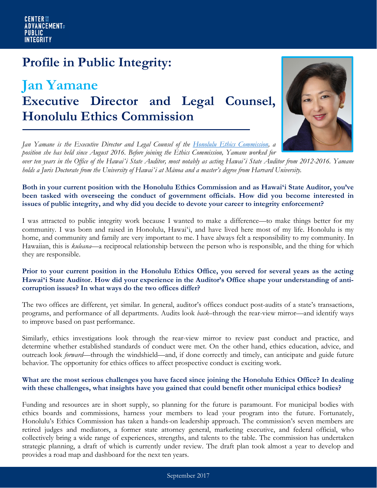# **Profile in Public Integrity:**

## **Jan Yamane Executive Director and Legal Counsel, Honolulu Ethics Commission**



*Jan Yamane is the Executive Director and Legal Counsel of the [Honolulu Ethics Commission,](https://www.honolulu.gov/ethics.html) a position she has held since August 2016. Before joining the Ethics Commission, Yamane worked for over ten years in the Office of the Hawaiʻi State Auditor, most notably as acting Hawaiʻi State Auditor from 2012-2016. Yamane holds a Juris Doctorate from the University of Hawaiʻi at Mānoa and a master's degree from Harvard University.*

#### **Both in your current position with the Honolulu Ethics Commission and as Hawaiʻi State Auditor, you've been tasked with overseeing the conduct of government officials. How did you become interested in issues of public integrity, and why did you decide to devote your career to integrity enforcement?**

I was attracted to public integrity work because I wanted to make a difference—to make things better for my community. I was born and raised in Honolulu, Hawaiʻi, and have lived here most of my life. Honolulu is my home, and community and family are very important to me. I have always felt a responsibility to my community. In Hawaiian, this is *kuleana*—a reciprocal relationship between the person who is responsible, and the thing for which they are responsible.

#### **Prior to your current position in the Honolulu Ethics Office, you served for several years as the acting Hawaiʻi State Auditor. How did your experience in the Auditor's Office shape your understanding of anticorruption issues? In what ways do the two offices differ?**

The two offices are different, yet similar. In general, auditor's offices conduct post-audits of a state's transactions, programs, and performance of all departments. Audits look *back*–through the rear-view mirror—and identify ways to improve based on past performance.

Similarly, ethics investigations look through the rear-view mirror to review past conduct and practice, and determine whether established standards of conduct were met. On the other hand, ethics education, advice, and outreach look *forward*—through the windshield—and, if done correctly and timely, can anticipate and guide future behavior. The opportunity for ethics offices to affect prospective conduct is exciting work.

#### **What are the most serious challenges you have faced since joining the Honolulu Ethics Office? In dealing with these challenges, what insights have you gained that could benefit other municipal ethics bodies?**

Funding and resources are in short supply, so planning for the future is paramount. For municipal bodies with ethics boards and commissions, harness your members to lead your program into the future. Fortunately, Honolulu's Ethics Commission has taken a hands-on leadership approach. The commission's seven members are retired judges and mediators, a former state attorney general, marketing executive, and federal official, who collectively bring a wide range of experiences, strengths, and talents to the table. The commission has undertaken strategic planning, a draft of which is currently under review. The draft plan took almost a year to develop and provides a road map and dashboard for the next ten years.